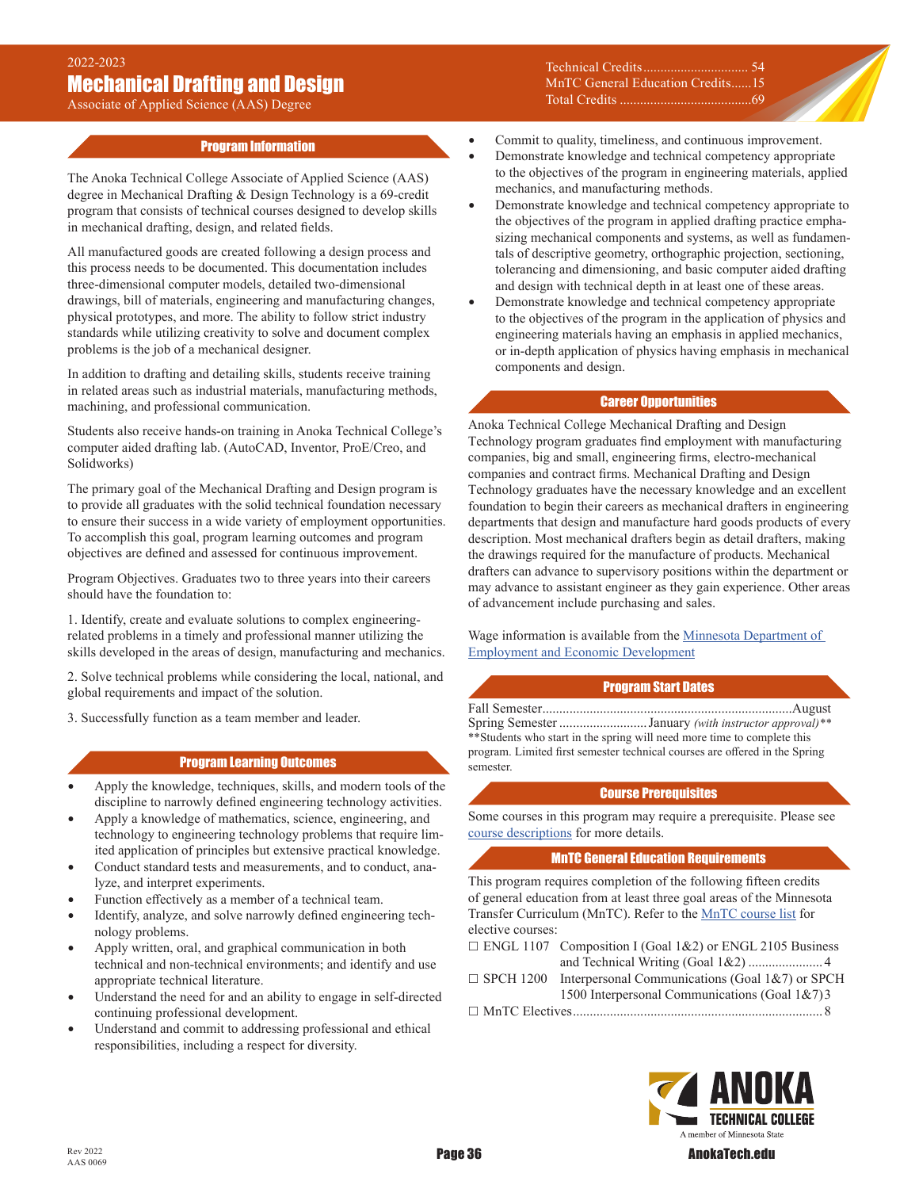Associate of Applied Science (AAS) Degree

## Program Information

The Anoka Technical College Associate of Applied Science (AAS) degree in Mechanical Drafting & Design Technology is a 69-credit program that consists of technical courses designed to develop skills in mechanical drafting, design, and related fields.

All manufactured goods are created following a design process and this process needs to be documented. This documentation includes three-dimensional computer models, detailed two-dimensional drawings, bill of materials, engineering and manufacturing changes, physical prototypes, and more. The ability to follow strict industry standards while utilizing creativity to solve and document complex problems is the job of a mechanical designer.

In addition to drafting and detailing skills, students receive training in related areas such as industrial materials, manufacturing methods, machining, and professional communication.

Students also receive hands-on training in Anoka Technical College's computer aided drafting lab. (AutoCAD, Inventor, ProE/Creo, and Solidworks)

The primary goal of the Mechanical Drafting and Design program is to provide all graduates with the solid technical foundation necessary to ensure their success in a wide variety of employment opportunities. To accomplish this goal, program learning outcomes and program objectives are defined and assessed for continuous improvement.

Program Objectives. Graduates two to three years into their careers should have the foundation to:

1. Identify, create and evaluate solutions to complex engineeringrelated problems in a timely and professional manner utilizing the skills developed in the areas of design, manufacturing and mechanics.

2. Solve technical problems while considering the local, national, and global requirements and impact of the solution.

3. Successfully function as a team member and leader.

## Program Learning Outcomes

- Apply the knowledge, techniques, skills, and modern tools of the discipline to narrowly defined engineering technology activities.
- Apply a knowledge of mathematics, science, engineering, and technology to engineering technology problems that require limited application of principles but extensive practical knowledge.
- Conduct standard tests and measurements, and to conduct, analyze, and interpret experiments.
- Function effectively as a member of a technical team.
- Identify, analyze, and solve narrowly defined engineering technology problems.
- Apply written, oral, and graphical communication in both technical and non-technical environments; and identify and use appropriate technical literature.
- Understand the need for and an ability to engage in self-directed continuing professional development.
- Understand and commit to addressing professional and ethical responsibilities, including a respect for diversity.

Technical Credits 54 MnTC General Education Credits......15 Total Credits 69

- Commit to quality, timeliness, and continuous improvement.
- Demonstrate knowledge and technical competency appropriate to the objectives of the program in engineering materials, applied mechanics, and manufacturing methods.
- Demonstrate knowledge and technical competency appropriate to the objectives of the program in applied drafting practice emphasizing mechanical components and systems, as well as fundamentals of descriptive geometry, orthographic projection, sectioning, tolerancing and dimensioning, and basic computer aided drafting and design with technical depth in at least one of these areas.
- Demonstrate knowledge and technical competency appropriate to the objectives of the program in the application of physics and engineering materials having an emphasis in applied mechanics, or in-depth application of physics having emphasis in mechanical components and design.

## Career Opportunities

Anoka Technical College Mechanical Drafting and Design Technology program graduates find employment with manufacturing companies, big and small, engineering firms, electro-mechanical companies and contract firms. Mechanical Drafting and Design Technology graduates have the necessary knowledge and an excellent foundation to begin their careers as mechanical drafters in engineering departments that design and manufacture hard goods products of every description. Most mechanical drafters begin as detail drafters, making the drawings required for the manufacture of products. Mechanical drafters can advance to supervisory positions within the department or may advance to assistant engineer as they gain experience. Other areas of advancement include purchasing and sales.

Wage information is available from the **Minnesota Department of** [Employment and Economic Development](https://mn.gov/deed/job-seekers/job-outlook/)

## Program Start Dates

Fall Semester..........................................................................August Spring Semester ..........................January *(with instructor approval)\*\** \*\*Students who start in the spring will need more time to complete this program. Limited first semester technical courses are offered in the Spring semester.

#### Course Prerequisites

Some courses in this program may require a prerequisite. Please see [course descriptions](http://www.anokatech.edu/ProgramsCourses/CourseList_Descriptions ) for more details.

## MnTC General Education Requirements

This program requires completion of the following fifteen credits of general education from at least three goal areas of the Minnesota Transfer Curriculum (MnTC). Refer to the [MnTC course list](http://www.anokatech.edu/BecomeStudent/Transfers/MnTC) for elective courses:

- □ ENGL 1107 Composition I (Goal 1&2) or ENGL 2105 Business
- and Technical Writing (Goal 1&2) ...................... 4  $\Box$  SPCH 1200 Interpersonal Communications (Goal 1&7) or SPCH
	- 1500 Interpersonal Communications (Goal 1&7)3

MnTC Electives.......................................................................... 8